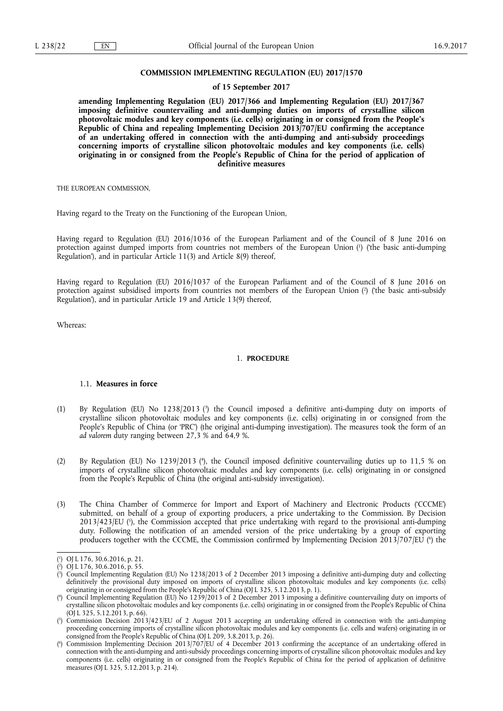#### **COMMISSION IMPLEMENTING REGULATION (EU) 2017/1570**

#### **of 15 September 2017**

**amending Implementing Regulation (EU) 2017/366 and Implementing Regulation (EU) 2017/367 imposing definitive countervailing and anti-dumping duties on imports of crystalline silicon photovoltaic modules and key components (i.e. cells) originating in or consigned from the People's Republic of China and repealing Implementing Decision 2013/707/EU confirming the acceptance of an undertaking offered in connection with the anti-dumping and anti-subsidy proceedings concerning imports of crystalline silicon photovoltaic modules and key components (i.e. cells) originating in or consigned from the People's Republic of China for the period of application of definitive measures** 

THE EUROPEAN COMMISSION,

Having regard to the Treaty on the Functioning of the European Union,

Having regard to Regulation (EU) 2016/1036 of the European Parliament and of the Council of 8 June 2016 on protection against dumped imports from countries not members of the European Union (1) ('the basic anti-dumping Regulation'), and in particular Article 11(3) and Article 8(9) thereof,

Having regard to Regulation (EU) 2016/1037 of the European Parliament and of the Council of 8 June 2016 on protection against subsidised imports from countries not members of the European Union (2) ('the basic anti-subsidy Regulation'), and in particular Article 19 and Article 13(9) thereof,

Whereas:

## 1. **PROCEDURE**

### 1.1. **Measures in force**

- (1) By Regulation (EU) No 1238/2013 ( 3 ) the Council imposed a definitive anti-dumping duty on imports of crystalline silicon photovoltaic modules and key components (i.e. cells) originating in or consigned from the People's Republic of China (or 'PRC') (the original anti-dumping investigation). The measures took the form of an *ad valorem* duty ranging between 27,3 % and 64,9 %.
- (2) By Regulation (EU) No 1239/2013 (<sup>4</sup>), the Council imposed definitive countervailing duties up to 11,5 % on imports of crystalline silicon photovoltaic modules and key components (i.e. cells) originating in or consigned from the People's Republic of China (the original anti-subsidy investigation).
- (3) The China Chamber of Commerce for Import and Export of Machinery and Electronic Products ('CCCME') submitted, on behalf of a group of exporting producers, a price undertaking to the Commission. By Decision 2013/423/EU ( 5 ), the Commission accepted that price undertaking with regard to the provisional anti-dumping duty. Following the notification of an amended version of the price undertaking by a group of exporting producers together with the CCCME, the Commission confirmed by Implementing Decision 2013/707/EU (\*) the

<sup>(</sup> 1 ) OJ L 176, 30.6.2016, p. 21.

<sup>(</sup> 2 ) OJ L 176, 30.6.2016, p. 55.

<sup>(</sup> 3 ) Council Implementing Regulation (EU) No 1238/2013 of 2 December 2013 imposing a definitive anti-dumping duty and collecting definitively the provisional duty imposed on imports of crystalline silicon photovoltaic modules and key components (i.e. cells) originating in or consigned from the People's Republic of China (OJ L 325, 5.12.2013, p. 1).

<sup>(</sup> 4 ) Council Implementing Regulation (EU) No 1239/2013 of 2 December 2013 imposing a definitive countervailing duty on imports of crystalline silicon photovoltaic modules and key components (i.e. cells) originating in or consigned from the People's Republic of China (OJ L 325, 5.12.2013, p. 66).

<sup>(</sup> 5 ) Commission Decision 2013/423/EU of 2 August 2013 accepting an undertaking offered in connection with the anti-dumping proceeding concerning imports of crystalline silicon photovoltaic modules and key components (i.e. cells and wafers) originating in or consigned from the People's Republic of China (OJ L 209, 3.8.2013, p. 26).

<sup>(</sup> 6 ) Commission Implementing Decision 2013/707/EU of 4 December 2013 confirming the acceptance of an undertaking offered in connection with the anti-dumping and anti-subsidy proceedings concerning imports of crystalline silicon photovoltaic modules and key components (i.e. cells) originating in or consigned from the People's Republic of China for the period of application of definitive measures (OJ L 325, 5.12.2013, p. 214).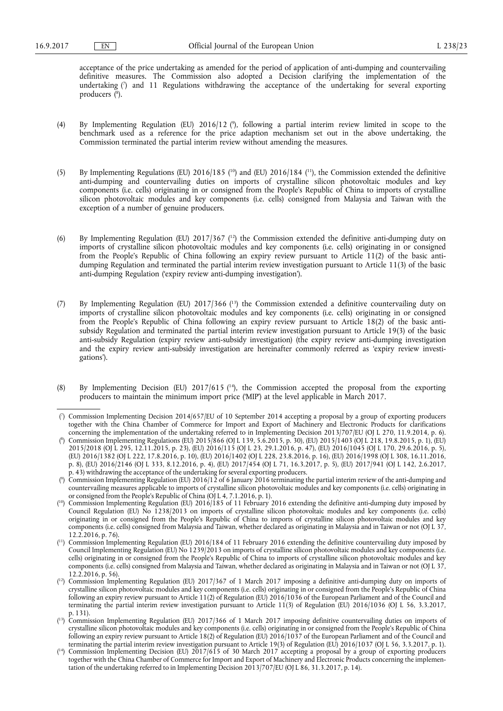acceptance of the price undertaking as amended for the period of application of anti-dumping and countervailing definitive measures. The Commission also adopted a Decision clarifying the implementation of the undertaking ( 7 ) and 11 Regulations withdrawing the acceptance of the undertaking for several exporting producers ( 8 ).

- (4) By Implementing Regulation (EU) 2016/12 ( 9 ), following a partial interim review limited in scope to the benchmark used as a reference for the price adaption mechanism set out in the above undertaking, the Commission terminated the partial interim review without amending the measures.
- (5) By Implementing Regulations (EU)  $2016/185$  (<sup>10</sup>) and (EU)  $2016/184$  (<sup>11</sup>), the Commission extended the definitive anti-dumping and countervailing duties on imports of crystalline silicon photovoltaic modules and key components (i.e. cells) originating in or consigned from the People's Republic of China to imports of crystalline silicon photovoltaic modules and key components (i.e. cells) consigned from Malaysia and Taiwan with the exception of a number of genuine producers.
- (6) By Implementing Regulation (EU)  $2017/367$  (<sup>12</sup>) the Commission extended the definitive anti-dumping duty on imports of crystalline silicon photovoltaic modules and key components (i.e. cells) originating in or consigned from the People's Republic of China following an expiry review pursuant to Article 11(2) of the basic antidumping Regulation and terminated the partial interim review investigation pursuant to Article 11(3) of the basic anti-dumping Regulation ('expiry review anti-dumping investigation').
- (7) By Implementing Regulation (EU) 2017/366 ( 13) the Commission extended a definitive countervailing duty on imports of crystalline silicon photovoltaic modules and key components (i.e. cells) originating in or consigned from the People's Republic of China following an expiry review pursuant to Article 18(2) of the basic antisubsidy Regulation and terminated the partial interim review investigation pursuant to Article 19(3) of the basic anti-subsidy Regulation (expiry review anti-subsidy investigation) (the expiry review anti-dumping investigation and the expiry review anti-subsidy investigation are hereinafter commonly referred as 'expiry review investigations').
- (8) By Implementing Decision (EU) 2017/615 (<sup>14</sup>), the Commission accepted the proposal from the exporting producers to maintain the minimum import price ('MIP') at the level applicable in March 2017.

<sup>(</sup> 7 ) Commission Implementing Decision 2014/657/EU of 10 September 2014 accepting a proposal by a group of exporting producers together with the China Chamber of Commerce for Import and Export of Machinery and Electronic Products for clarifications concerning the implementation of the undertaking referred to in Implementing Decision 2013/707/EU (OJ L 270, 11.9.2014, p. 6).

<sup>(</sup> 8 ) Commission Implementing Regulations (EU) 2015/866 (OJ L 139, 5.6.2015, p. 30), (EU) 2015/1403 (OJ L 218, 19.8.2015, p. 1), (EU) 2015/2018 (OJ L 295, 12.11.2015, p. 23), (EU) 2016/115 (OJ L 23, 29.1.2016, p. 47), (EU) 2016/1045 (OJ L 170, 29.6.2016, p. 5), (EU) 2016/1382 (OJ L 222, 17.8.2016, p. 10), (EU) 2016/1402 (OJ L 228, 23.8.2016, p. 16), (EU) 2016/1998 (OJ L 308, 16.11.2016, p. 8), (EU) 2016/2146 (OJ L 333, 8.12.2016, p. 4), (EU) 2017/454 (OJ L 71, 16.3.2017, p. 5), (EU) 2017/941 (OJ L 142, 2.6.2017, p. 43) withdrawing the acceptance of the undertaking for several exporting producers.

<sup>(</sup> 9 ) Commission Implementing Regulation (EU) 2016/12 of 6 January 2016 terminating the partial interim review of the anti-dumping and countervailing measures applicable to imports of crystalline silicon photovoltaic modules and key components (i.e. cells) originating in or consigned from the People's Republic of China (OJ L 4, 7.1.2016, p. 1).

<sup>(</sup> 10) Commission Implementing Regulation (EU) 2016/185 of 11 February 2016 extending the definitive anti-dumping duty imposed by Council Regulation (EU) No 1238/2013 on imports of crystalline silicon photovoltaic modules and key components (i.e. cells) originating in or consigned from the People's Republic of China to imports of crystalline silicon photovoltaic modules and key components (i.e. cells) consigned from Malaysia and Taiwan, whether declared as originating in Malaysia and in Taiwan or not (OJ L 37, 12.2.2016, p. 76).

<sup>(</sup> 11) Commission Implementing Regulation (EU) 2016/184 of 11 February 2016 extending the definitive countervailing duty imposed by Council Implementing Regulation (EU) No 1239/2013 on imports of crystalline silicon photovoltaic modules and key components (i.e. cells) originating in or consigned from the People's Republic of China to imports of crystalline silicon photovoltaic modules and key components (i.e. cells) consigned from Malaysia and Taiwan, whether declared as originating in Malaysia and in Taiwan or not (OJ L 37, 12.2.2016, p. 56).

<sup>(</sup> 12) Commission Implementing Regulation (EU) 2017/367 of 1 March 2017 imposing a definitive anti-dumping duty on imports of crystalline silicon photovoltaic modules and key components (i.e. cells) originating in or consigned from the People's Republic of China following an expiry review pursuant to Article 11(2) of Regulation (EU) 2016/1036 of the European Parliament and of the Council and terminating the partial interim review investigation pursuant to Article 11(3) of Regulation (EU) 2016/1036 (OJ L 56, 3.3.2017, p. 131).

<sup>(</sup> 13) Commission Implementing Regulation (EU) 2017/366 of 1 March 2017 imposing definitive countervailing duties on imports of crystalline silicon photovoltaic modules and key components (i.e. cells) originating in or consigned from the People's Republic of China following an expiry review pursuant to Article 18(2) of Regulation (EU) 2016/1037 of the European Parliament and of the Council and terminating the partial interim review investigation pursuant to Article 19(3) of Regulation (EU) 2016/1037 (OJ L 56, 3.3.2017, p. 1).

<sup>(</sup> 14) Commission Implementing Decision (EU) 2017/615 of 30 March 2017 accepting a proposal by a group of exporting producers together with the China Chamber of Commerce for Import and Export of Machinery and Electronic Products concerning the implementation of the undertaking referred to in Implementing Decision 2013/707/EU (OJ L 86, 31.3.2017, p. 14).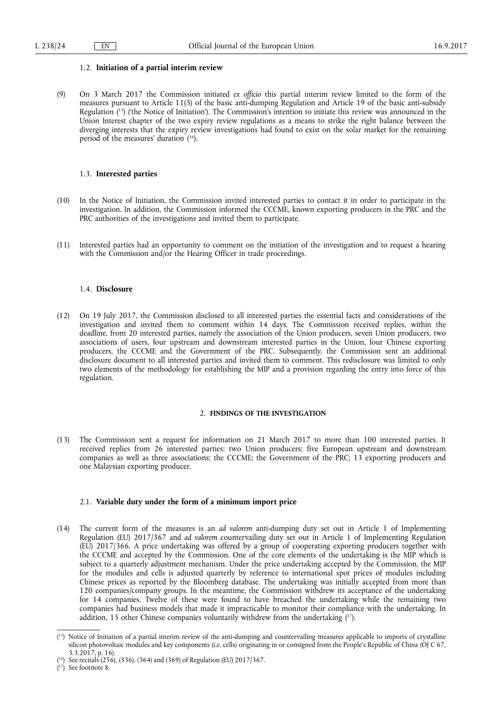#### 1.2. **Initiation of a partial interim review**

(9) On 3 March 2017 the Commission initiated *ex officio* this partial interim review limited to the form of the measures pursuant to Article 11(3) of the basic anti-dumping Regulation and Article 19 of the basic anti-subsidy Regulation ( 15) ('the Notice of Initiation'). The Commission's intention to initiate this review was announced in the Union Interest chapter of the two expiry review regulations as a means to strike the right balance between the diverging interests that the expiry review investigations had found to exist on the solar market for the remaining period of the measures' duration ( 16).

#### 1.3. **Interested parties**

- (10) In the Notice of Initiation, the Commission invited interested parties to contact it in order to participate in the investigation. In addition, the Commission informed the CCCME, known exporting producers in the PRC and the PRC authorities of the investigations and invited them to participate.
- (11) Interested parties had an opportunity to comment on the initiation of the investigation and to request a hearing with the Commission and/or the Hearing Officer in trade proceedings.

#### 1.4. **Disclosure**

(12) On 19 July 2017, the Commission disclosed to all interested parties the essential facts and considerations of the investigation and invited them to comment within 14 days. The Commission received replies, within the deadline, from 20 interested parties, namely the association of the Union producers, seven Union producers, two associations of users, four upstream and downstream interested parties in the Union, four Chinese exporting producers, the CCCME and the Government of the PRC. Subsequently, the Commission sent an additional disclosure document to all interested parties and invited them to comment. This redisclosure was limited to only two elements of the methodology for establishing the MIP and a provision regarding the entry into force of this regulation.

## 2. **FINDINGS OF THE INVESTIGATION**

(13) The Commission sent a request for information on 21 March 2017 to more than 100 interested parties. It received replies from 26 interested parties: two Union producers; five European upstream and downstream companies as well as three associations; the CCCME; the Government of the PRC; 13 exporting producers and one Malaysian exporting producer.

#### 2.1. **Variable duty under the form of a minimum import price**

(14) The current form of the measures is an *ad valorem* anti-dumping duty set out in Article 1 of Implementing Regulation (EU) 2017/367 and *ad valorem* countervailing duty set out in Article 1 of Implementing Regulation (EU) 2017/366. A price undertaking was offered by a group of cooperating exporting producers together with the CCCME and accepted by the Commission. One of the core elements of the undertaking is the MIP which is subject to a quarterly adjustment mechanism. Under the price undertaking accepted by the Commission, the MIP for the modules and cells is adjusted quarterly by reference to international spot prices of modules including Chinese prices as reported by the Bloomberg database. The undertaking was initially accepted from more than 120 companies/company groups. In the meantime, the Commission withdrew its acceptance of the undertaking for 14 companies. Twelve of these were found to have breached the undertaking while the remaining two companies had business models that made it impracticable to monitor their compliance with the undertaking. In addition, 15 other Chinese companies voluntarily withdrew from the undertaking  $(^{17})$ .

<sup>(</sup> 15) Notice of Initiation of a partial interim review of the anti-dumping and countervailing measures applicable to imports of crystalline silicon photovoltaic modules and key components (i.e. cells) originating in or consigned from the People's Republic of China (OJ C 67, 3.3.2017, p. 16).

<sup>(</sup> See recitals (256), (336), (364) and (369) of Regulation (EU) 2017/367.

<sup>(</sup> 17) See footnote 8.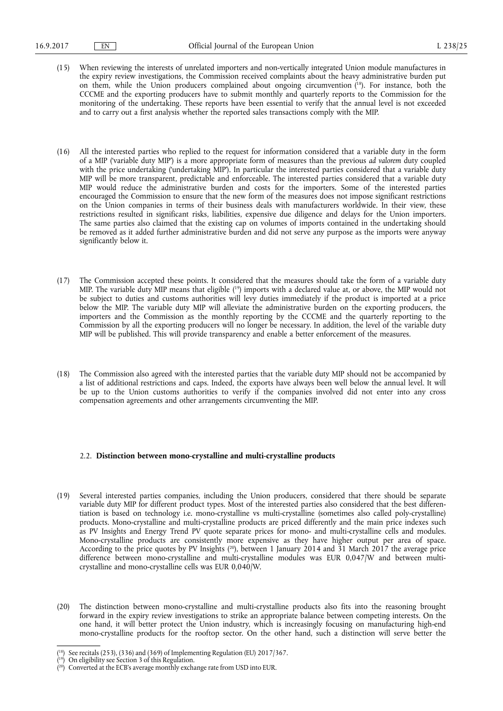- (15) When reviewing the interests of unrelated importers and non-vertically integrated Union module manufactures in the expiry review investigations, the Commission received complaints about the heavy administrative burden put on them, while the Union producers complained about ongoing circumvention ( 18). For instance, both the CCCME and the exporting producers have to submit monthly and quarterly reports to the Commission for the monitoring of the undertaking. These reports have been essential to verify that the annual level is not exceeded and to carry out a first analysis whether the reported sales transactions comply with the MIP.
- (16) All the interested parties who replied to the request for information considered that a variable duty in the form of a MIP ('variable duty MIP') is a more appropriate form of measures than the previous *ad valorem* duty coupled with the price undertaking ('undertaking MIP'). In particular the interested parties considered that a variable duty MIP will be more transparent, predictable and enforceable. The interested parties considered that a variable duty MIP would reduce the administrative burden and costs for the importers. Some of the interested parties encouraged the Commission to ensure that the new form of the measures does not impose significant restrictions on the Union companies in terms of their business deals with manufacturers worldwide. In their view, these restrictions resulted in significant risks, liabilities, expensive due diligence and delays for the Union importers. The same parties also claimed that the existing cap on volumes of imports contained in the undertaking should be removed as it added further administrative burden and did not serve any purpose as the imports were anyway significantly below it.
- (17) The Commission accepted these points. It considered that the measures should take the form of a variable duty MIP. The variable duty MIP means that eligible ( 19) imports with a declared value at, or above, the MIP would not be subject to duties and customs authorities will levy duties immediately if the product is imported at a price below the MIP. The variable duty MIP will alleviate the administrative burden on the exporting producers, the importers and the Commission as the monthly reporting by the CCCME and the quarterly reporting to the Commission by all the exporting producers will no longer be necessary. In addition, the level of the variable duty MIP will be published. This will provide transparency and enable a better enforcement of the measures.
- (18) The Commission also agreed with the interested parties that the variable duty MIP should not be accompanied by a list of additional restrictions and caps. Indeed, the exports have always been well below the annual level. It will be up to the Union customs authorities to verify if the companies involved did not enter into any cross compensation agreements and other arrangements circumventing the MIP.

### 2.2. **Distinction between mono-crystalline and multi-crystalline products**

- (19) Several interested parties companies, including the Union producers, considered that there should be separate variable duty MIP for different product types. Most of the interested parties also considered that the best differentiation is based on technology i.e. mono-crystalline vs multi-crystalline (sometimes also called poly-crystalline) products. Mono-crystalline and multi-crystalline products are priced differently and the main price indexes such as PV Insights and Energy Trend PV quote separate prices for mono- and multi-crystalline cells and modules. Mono-crystalline products are consistently more expensive as they have higher output per area of space. According to the price quotes by PV Insights ( 20), between 1 January 2014 and 31 March 2017 the average price difference between mono-crystalline and multi-crystalline modules was EUR 0,047/W and between multicrystalline and mono-crystalline cells was EUR 0,040/W.
- (20) The distinction between mono-crystalline and multi-crystalline products also fits into the reasoning brought forward in the expiry review investigations to strike an appropriate balance between competing interests. On the one hand, it will better protect the Union industry, which is increasingly focusing on manufacturing high-end mono-crystalline products for the rooftop sector. On the other hand, such a distinction will serve better the

<sup>(</sup> 18) See recitals (253), (336) and (369) of Implementing Regulation (EU) 2017/367.

<sup>(</sup> On eligibility see Section 3 of this Regulation.

<sup>(</sup> 20) Converted at the ECB's average monthly exchange rate from USD into EUR.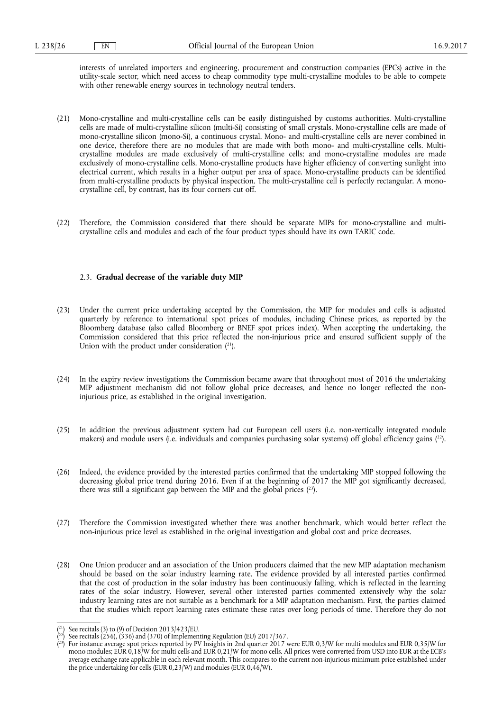interests of unrelated importers and engineering, procurement and construction companies (EPCs) active in the utility-scale sector, which need access to cheap commodity type multi-crystalline modules to be able to compete with other renewable energy sources in technology neutral tenders.

- (21) Mono-crystalline and multi-crystalline cells can be easily distinguished by customs authorities. Multi-crystalline cells are made of multi-crystalline silicon (multi-Si) consisting of small crystals. Mono-crystalline cells are made of mono-crystalline silicon (mono-Si), a continuous crystal. Mono- and multi-crystalline cells are never combined in one device, therefore there are no modules that are made with both mono- and multi-crystalline cells. Multicrystalline modules are made exclusively of multi-crystalline cells; and mono-crystalline modules are made exclusively of mono-crystalline cells. Mono-crystalline products have higher efficiency of converting sunlight into electrical current, which results in a higher output per area of space. Mono-crystalline products can be identified from multi-crystalline products by physical inspection. The multi-crystalline cell is perfectly rectangular. A monocrystalline cell, by contrast, has its four corners cut off.
- (22) Therefore, the Commission considered that there should be separate MIPs for mono-crystalline and multicrystalline cells and modules and each of the four product types should have its own TARIC code.

#### 2.3. **Gradual decrease of the variable duty MIP**

- (23) Under the current price undertaking accepted by the Commission, the MIP for modules and cells is adjusted quarterly by reference to international spot prices of modules, including Chinese prices, as reported by the Bloomberg database (also called Bloomberg or BNEF spot prices index). When accepting the undertaking, the Commission considered that this price reflected the non-injurious price and ensured sufficient supply of the Union with the product under consideration  $(2^1)$ .
- (24) In the expiry review investigations the Commission became aware that throughout most of 2016 the undertaking MIP adjustment mechanism did not follow global price decreases, and hence no longer reflected the noninjurious price, as established in the original investigation.
- (25) In addition the previous adjustment system had cut European cell users (i.e. non-vertically integrated module makers) and module users (i.e. individuals and companies purchasing solar systems) off global efficiency gains ( 22).
- (26) Indeed, the evidence provided by the interested parties confirmed that the undertaking MIP stopped following the decreasing global price trend during 2016. Even if at the beginning of 2017 the MIP got significantly decreased, there was still a significant gap between the MIP and the global prices  $(^{23})$ .
- (27) Therefore the Commission investigated whether there was another benchmark, which would better reflect the non-injurious price level as established in the original investigation and global cost and price decreases.
- (28) One Union producer and an association of the Union producers claimed that the new MIP adaptation mechanism should be based on the solar industry learning rate. The evidence provided by all interested parties confirmed that the cost of production in the solar industry has been continuously falling, which is reflected in the learning rates of the solar industry. However, several other interested parties commented extensively why the solar industry learning rates are not suitable as a benchmark for a MIP adaptation mechanism. First, the parties claimed that the studies which report learning rates estimate these rates over long periods of time. Therefore they do not

<sup>(</sup> 21) See recitals (3) to (9) of Decision 2013/423/EU.

 $(2^2)$  See recitals (256), (336) and (370) of Implementing Regulation (EU) 2017/367.

 $(^{23})$  For instance average spot prices reported by PV Insights in 2nd quarter 2017 were EUR 0,3/W for multi modules and EUR 0,35/W for mono modules; EUR 0,18/W for multi cells and EUR 0,21/W for mono cells. All prices were converted from USD into EUR at the ECB's average exchange rate applicable in each relevant month. This compares to the current non-injurious minimum price established under the price undertaking for cells (EUR 0,23/W) and modules (EUR 0,46/W).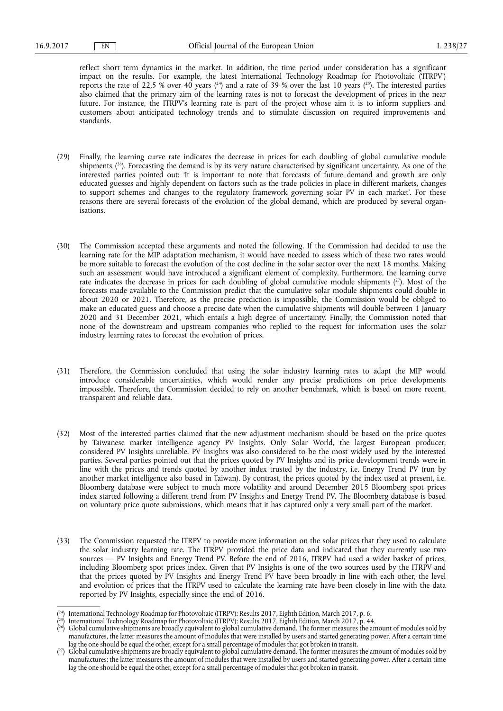reflect short term dynamics in the market. In addition, the time period under consideration has a significant impact on the results. For example, the latest International Technology Roadmap for Photovoltaic ('ITRPV') reports the rate of 22,5 % over 40 years ( $^{24}$ ) and a rate of 39 % over the last 10 years ( $^{25}$ ). The interested parties also claimed that the primary aim of the learning rates is not to forecast the development of prices in the near future. For instance, the ITRPV's learning rate is part of the project whose aim it is to inform suppliers and customers about anticipated technology trends and to stimulate discussion on required improvements and standards.

- (29) Finally, the learning curve rate indicates the decrease in prices for each doubling of global cumulative module shipments  $(^{26})$ . Forecasting the demand is by its very nature characterised by significant uncertainty. As one of the interested parties pointed out: 'It is important to note that forecasts of future demand and growth are only educated guesses and highly dependent on factors such as the trade policies in place in different markets, changes to support schemes and changes to the regulatory framework governing solar PV in each market'. For these reasons there are several forecasts of the evolution of the global demand, which are produced by several organisations.
- (30) The Commission accepted these arguments and noted the following. If the Commission had decided to use the learning rate for the MIP adaptation mechanism, it would have needed to assess which of these two rates would be more suitable to forecast the evolution of the cost decline in the solar sector over the next 18 months. Making such an assessment would have introduced a significant element of complexity. Furthermore, the learning curve rate indicates the decrease in prices for each doubling of global cumulative module shipments  $(^{27})$ . Most of the forecasts made available to the Commission predict that the cumulative solar module shipments could double in about 2020 or 2021. Therefore, as the precise prediction is impossible, the Commission would be obliged to make an educated guess and choose a precise date when the cumulative shipments will double between 1 January 2020 and 31 December 2021, which entails a high degree of uncertainty. Finally, the Commission noted that none of the downstream and upstream companies who replied to the request for information uses the solar industry learning rates to forecast the evolution of prices.
- (31) Therefore, the Commission concluded that using the solar industry learning rates to adapt the MIP would introduce considerable uncertainties, which would render any precise predictions on price developments impossible. Therefore, the Commission decided to rely on another benchmark, which is based on more recent, transparent and reliable data.
- (32) Most of the interested parties claimed that the new adjustment mechanism should be based on the price quotes by Taiwanese market intelligence agency PV Insights. Only Solar World, the largest European producer, considered PV Insights unreliable. PV Insights was also considered to be the most widely used by the interested parties. Several parties pointed out that the prices quoted by PV Insights and its price development trends were in line with the prices and trends quoted by another index trusted by the industry, i.e. Energy Trend PV (run by another market intelligence also based in Taiwan). By contrast, the prices quoted by the index used at present, i.e. Bloomberg database were subject to much more volatility and around December 2015 Bloomberg spot prices index started following a different trend from PV Insights and Energy Trend PV. The Bloomberg database is based on voluntary price quote submissions, which means that it has captured only a very small part of the market.
- (33) The Commission requested the ITRPV to provide more information on the solar prices that they used to calculate the solar industry learning rate. The ITRPV provided the price data and indicated that they currently use two sources — PV Insights and Energy Trend PV. Before the end of 2016, ITRPV had used a wider basket of prices, including Bloomberg spot prices index. Given that PV Insights is one of the two sources used by the ITRPV and that the prices quoted by PV Insights and Energy Trend PV have been broadly in line with each other, the level and evolution of prices that the ITRPV used to calculate the learning rate have been closely in line with the data reported by PV Insights, especially since the end of 2016.

<sup>(</sup> 24) International Technology Roadmap for Photovoltaic (ITRPV): Results 2017, Eighth Edition, March 2017, p. 6.

<sup>(</sup> 25) International Technology Roadmap for Photovoltaic (ITRPV): Results 2017, Eighth Edition, March 2017, p. 44.

 $(^{26})$  Global cumulative shipments are broadly equivalent to global cumulative demand. The former measures the amount of modules sold by manufactures, the latter measures the amount of modules that were installed by users and started generating power. After a certain time lag the one should be equal the other, except for a small percentage of modules that got broken in transit.

 $(^{27})$  Global cumulative shipments are broadly equivalent to global cumulative demand. The former measures the amount of modules sold by manufactures; the latter measures the amount of modules that were installed by users and started generating power. After a certain time lag the one should be equal the other, except for a small percentage of modules that got broken in transit.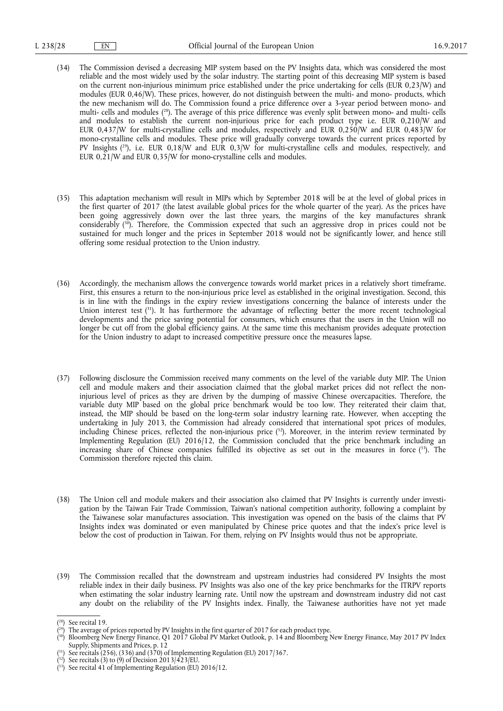- (34) The Commission devised a decreasing MIP system based on the PV Insights data, which was considered the most reliable and the most widely used by the solar industry. The starting point of this decreasing MIP system is based on the current non-injurious minimum price established under the price undertaking for cells (EUR 0,23/W) and modules (EUR 0,46/W). These prices, however, do not distinguish between the multi- and mono- products, which the new mechanism will do. The Commission found a price difference over a 3-year period between mono- and multi- cells and modules ( 28). The average of this price difference was evenly split between mono- and multi- cells and modules to establish the current non-injurious price for each product type i.e. EUR 0,210/W and EUR 0,437/W for multi-crystalline cells and modules, respectively and EUR 0,250/W and EUR 0,483/W for mono-crystalline cells and modules. These price will gradually converge towards the current prices reported by PV Insights ( 29), i.e. EUR 0,18/W and EUR 0,3/W for multi-crystalline cells and modules, respectively, and EUR 0,21/W and EUR 0,35/W for mono-crystalline cells and modules.
- (35) This adaptation mechanism will result in MIPs which by September 2018 will be at the level of global prices in the first quarter of 2017 (the latest available global prices for the whole quarter of the year). As the prices have been going aggressively down over the last three years, the margins of the key manufactures shrank considerably ( 30). Therefore, the Commission expected that such an aggressive drop in prices could not be sustained for much longer and the prices in September 2018 would not be significantly lower, and hence still offering some residual protection to the Union industry.
- (36) Accordingly, the mechanism allows the convergence towards world market prices in a relatively short timeframe. First, this ensures a return to the non-injurious price level as established in the original investigation. Second, this is in line with the findings in the expiry review investigations concerning the balance of interests under the Union interest test (<sup>31</sup>). It has furthermore the advantage of reflecting better the more recent technological developments and the price saving potential for consumers, which ensures that the users in the Union will no longer be cut off from the global efficiency gains. At the same time this mechanism provides adequate protection for the Union industry to adapt to increased competitive pressure once the measures lapse.
- (37) Following disclosure the Commission received many comments on the level of the variable duty MIP. The Union cell and module makers and their association claimed that the global market prices did not reflect the noninjurious level of prices as they are driven by the dumping of massive Chinese overcapacities. Therefore, the variable duty MIP based on the global price benchmark would be too low. They reiterated their claim that, instead, the MIP should be based on the long-term solar industry learning rate. However, when accepting the undertaking in July 2013, the Commission had already considered that international spot prices of modules, including Chinese prices, reflected the non-injurious price ( 32). Moreover, in the interim review terminated by Implementing Regulation (EU) 2016/12, the Commission concluded that the price benchmark including an increasing share of Chinese companies fulfilled its objective as set out in the measures in force ( 33). The Commission therefore rejected this claim.
- (38) The Union cell and module makers and their association also claimed that PV Insights is currently under investigation by the Taiwan Fair Trade Commission, Taiwan's national competition authority, following a complaint by the Taiwanese solar manufactures association. This investigation was opened on the basis of the claims that PV Insights index was dominated or even manipulated by Chinese price quotes and that the index's price level is below the cost of production in Taiwan. For them, relying on PV Insights would thus not be appropriate.
- (39) The Commission recalled that the downstream and upstream industries had considered PV Insights the most reliable index in their daily business. PV Insights was also one of the key price benchmarks for the ITRPV reports when estimating the solar industry learning rate. Until now the upstream and downstream industry did not cast any doubt on the reliability of the PV Insights index. Finally, the Taiwanese authorities have not yet made

<sup>(</sup> 28) See recital 19.

 $(2^9)$  The average of prices reported by PV Insights in the first quarter of 2017 for each product type.

<sup>(</sup> 30) Bloomberg New Energy Finance, Q1 2017 Global PV Market Outlook, p. 14 and Bloomberg New Energy Finance, May 2017 PV Index Supply, Shipments and Prices, p. 12

<sup>(</sup> 31) See recitals (256), (336) and (370) of Implementing Regulation (EU) 2017/367.

 $(3^2)$  See recitals (3) to (9) of Decision 2013/423/EU.

<sup>(</sup> 33) See recital 41 of Implementing Regulation (EU) 2016/12.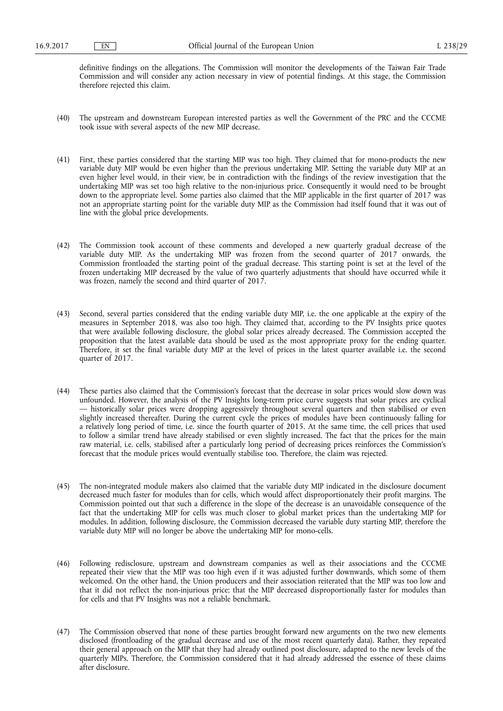definitive findings on the allegations. The Commission will monitor the developments of the Taiwan Fair Trade Commission and will consider any action necessary in view of potential findings. At this stage, the Commission therefore rejected this claim.

- (40) The upstream and downstream European interested parties as well the Government of the PRC and the CCCME took issue with several aspects of the new MIP decrease.
- (41) First, these parties considered that the starting MIP was too high. They claimed that for mono-products the new variable duty MIP would be even higher than the previous undertaking MIP. Setting the variable duty MIP at an even higher level would, in their view, be in contradiction with the findings of the review investigation that the undertaking MIP was set too high relative to the non-injurious price. Consequently it would need to be brought down to the appropriate level. Some parties also claimed that the MIP applicable in the first quarter of 2017 was not an appropriate starting point for the variable duty MIP as the Commission had itself found that it was out of line with the global price developments.
- (42) The Commission took account of these comments and developed a new quarterly gradual decrease of the variable duty MIP. As the undertaking MIP was frozen from the second quarter of 2017 onwards, the Commission frontloaded the starting point of the gradual decrease. This starting point is set at the level of the frozen undertaking MIP decreased by the value of two quarterly adjustments that should have occurred while it was frozen, namely the second and third quarter of 2017.
- (43) Second, several parties considered that the ending variable duty MIP, i.e. the one applicable at the expiry of the measures in September 2018, was also too high. They claimed that, according to the PV Insights price quotes that were available following disclosure, the global solar prices already decreased. The Commission accepted the proposition that the latest available data should be used as the most appropriate proxy for the ending quarter. Therefore, it set the final variable duty MIP at the level of prices in the latest quarter available i.e. the second quarter of 2017.
- (44) These parties also claimed that the Commission's forecast that the decrease in solar prices would slow down was unfounded. However, the analysis of the PV Insights long-term price curve suggests that solar prices are cyclical — historically solar prices were dropping aggressively throughout several quarters and then stabilised or even slightly increased thereafter. During the current cycle the prices of modules have been continuously falling for a relatively long period of time, i.e. since the fourth quarter of 2015. At the same time, the cell prices that used to follow a similar trend have already stabilised or even slightly increased. The fact that the prices for the main raw material, i.e. cells, stabilised after a particularly long period of decreasing prices reinforces the Commission's forecast that the module prices would eventually stabilise too. Therefore, the claim was rejected.
- (45) The non-integrated module makers also claimed that the variable duty MIP indicated in the disclosure document decreased much faster for modules than for cells, which would affect disproportionately their profit margins. The Commission pointed out that such a difference in the slope of the decrease is an unavoidable consequence of the fact that the undertaking MIP for cells was much closer to global market prices than the undertaking MIP for modules. In addition, following disclosure, the Commission decreased the variable duty starting MIP, therefore the variable duty MIP will no longer be above the undertaking MIP for mono-cells.
- (46) Following redisclosure, upstream and downstream companies as well as their associations and the CCCME repeated their view that the MIP was too high even if it was adjusted further downwards, which some of them welcomed. On the other hand, the Union producers and their association reiterated that the MIP was too low and that it did not reflect the non-injurious price; that the MIP decreased disproportionally faster for modules than for cells and that PV Insights was not a reliable benchmark.
- (47) The Commission observed that none of these parties brought forward new arguments on the two new elements disclosed (frontloading of the gradual decrease and use of the most recent quarterly data). Rather, they repeated their general approach on the MIP that they had already outlined post disclosure, adapted to the new levels of the quarterly MIPs. Therefore, the Commission considered that it had already addressed the essence of these claims after disclosure.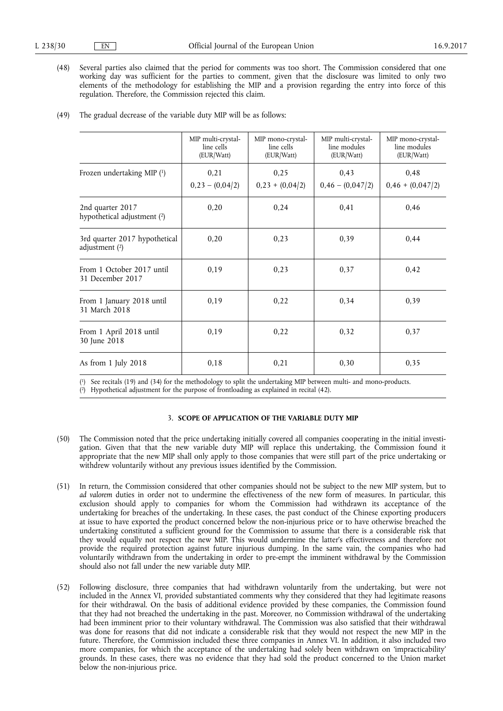(48) Several parties also claimed that the period for comments was too short. The Commission considered that one working day was sufficient for the parties to comment, given that the disclosure was limited to only two elements of the methodology for establishing the MIP and a provision regarding the entry into force of this regulation. Therefore, the Commission rejected this claim.

|                                                   | MIP multi-crystal-<br>line cells<br>(EUR/Watt) | MIP mono-crystal-<br>line cells<br>(EUR/Watt) | MIP multi-crystal-<br>line modules<br>(EUR/Watt) | MIP mono-crystal-<br>line modules<br>(EUR/Watt) |
|---------------------------------------------------|------------------------------------------------|-----------------------------------------------|--------------------------------------------------|-------------------------------------------------|
| Frozen undertaking MIP (1)                        | 0,21<br>$0,23 - (0,04/2)$                      | 0,25<br>$0,23 + (0,04/2)$                     | 0.43<br>$0,46 - (0,047/2)$                       | 0,48<br>$0,46 + (0,047/2)$                      |
| 2nd quarter 2017<br>hypothetical adjustment (2)   | 0,20                                           | 0,24                                          | 0,41                                             | 0,46                                            |
| 3rd quarter 2017 hypothetical<br>adjustment $(2)$ | 0,20                                           | 0,23                                          | 0.39                                             | 0,44                                            |
| From 1 October 2017 until<br>31 December 2017     | 0,19                                           | 0,23                                          | 0,37                                             | 0,42                                            |
| From 1 January 2018 until<br>31 March 2018        | 0,19                                           | 0,22                                          | 0,34                                             | 0,39                                            |
| From 1 April 2018 until<br>30 June 2018           | 0,19                                           | 0,22                                          | 0.32                                             | 0.37                                            |
| As from 1 July 2018                               | 0,18                                           | 0,21                                          | 0,30                                             | 0.35                                            |

(49) The gradual decrease of the variable duty MIP will be as follows:

( 1) See recitals (19) and (34) for the methodology to split the undertaking MIP between multi- and mono-products.

( 2) Hypothetical adjustment for the purpose of frontloading as explained in recital (42).

#### 3. **SCOPE OF APPLICATION OF THE VARIABLE DUTY MIP**

- (50) The Commission noted that the price undertaking initially covered all companies cooperating in the initial investigation. Given that that the new variable duty MIP will replace this undertaking, the Commission found it appropriate that the new MIP shall only apply to those companies that were still part of the price undertaking or withdrew voluntarily without any previous issues identified by the Commission.
- (51) In return, the Commission considered that other companies should not be subject to the new MIP system, but to *ad valorem* duties in order not to undermine the effectiveness of the new form of measures. In particular, this exclusion should apply to companies for whom the Commission had withdrawn its acceptance of the undertaking for breaches of the undertaking. In these cases, the past conduct of the Chinese exporting producers at issue to have exported the product concerned below the non-injurious price or to have otherwise breached the undertaking constituted a sufficient ground for the Commission to assume that there is a considerable risk that they would equally not respect the new MIP. This would undermine the latter's effectiveness and therefore not provide the required protection against future injurious dumping. In the same vain, the companies who had voluntarily withdrawn from the undertaking in order to pre-empt the imminent withdrawal by the Commission should also not fall under the new variable duty MIP.
- (52) Following disclosure, three companies that had withdrawn voluntarily from the undertaking, but were not included in the Annex VI, provided substantiated comments why they considered that they had legitimate reasons for their withdrawal. On the basis of additional evidence provided by these companies, the Commission found that they had not breached the undertaking in the past. Moreover, no Commission withdrawal of the undertaking had been imminent prior to their voluntary withdrawal. The Commission was also satisfied that their withdrawal was done for reasons that did not indicate a considerable risk that they would not respect the new MIP in the future. Therefore, the Commission included these three companies in Annex VI. In addition, it also included two more companies, for which the acceptance of the undertaking had solely been withdrawn on 'impracticability' grounds. In these cases, there was no evidence that they had sold the product concerned to the Union market below the non-injurious price.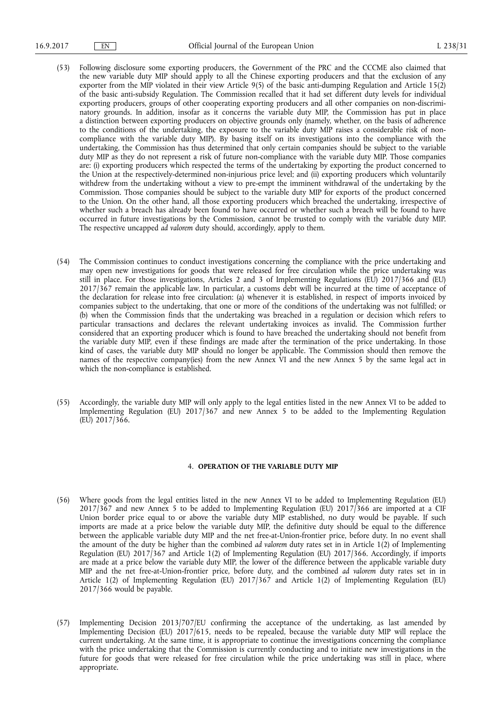- (53) Following disclosure some exporting producers, the Government of the PRC and the CCCME also claimed that the new variable duty MIP should apply to all the Chinese exporting producers and that the exclusion of any exporter from the MIP violated in their view Article 9(5) of the basic anti-dumping Regulation and Article 15(2) of the basic anti-subsidy Regulation. The Commission recalled that it had set different duty levels for individual exporting producers, groups of other cooperating exporting producers and all other companies on non-discriminatory grounds. In addition, insofar as it concerns the variable duty MIP, the Commission has put in place a distinction between exporting producers on objective grounds only (namely, whether, on the basis of adherence to the conditions of the undertaking, the exposure to the variable duty MIP raises a considerable risk of noncompliance with the variable duty MIP). By basing itself on its investigations into the compliance with the undertaking, the Commission has thus determined that only certain companies should be subject to the variable duty MIP as they do not represent a risk of future non-compliance with the variable duty MIP. Those companies are: (i) exporting producers which respected the terms of the undertaking by exporting the product concerned to the Union at the respectively-determined non-injurious price level; and (ii) exporting producers which voluntarily withdrew from the undertaking without a view to pre-empt the imminent withdrawal of the undertaking by the Commission. Those companies should be subject to the variable duty MIP for exports of the product concerned to the Union. On the other hand, all those exporting producers which breached the undertaking, irrespective of whether such a breach has already been found to have occurred or whether such a breach will be found to have occurred in future investigations by the Commission, cannot be trusted to comply with the variable duty MIP. The respective uncapped *ad valorem* duty should, accordingly, apply to them.
- (54) The Commission continues to conduct investigations concerning the compliance with the price undertaking and may open new investigations for goods that were released for free circulation while the price undertaking was still in place. For those investigations, Articles 2 and 3 of Implementing Regulations (EU) 2017/366 and (EU) 2017/367 remain the applicable law. In particular, a customs debt will be incurred at the time of acceptance of the declaration for release into free circulation: (a) whenever it is established, in respect of imports invoiced by companies subject to the undertaking, that one or more of the conditions of the undertaking was not fulfilled; or (b) when the Commission finds that the undertaking was breached in a regulation or decision which refers to particular transactions and declares the relevant undertaking invoices as invalid. The Commission further considered that an exporting producer which is found to have breached the undertaking should not benefit from the variable duty MIP, even if these findings are made after the termination of the price undertaking. In those kind of cases, the variable duty MIP should no longer be applicable. The Commission should then remove the names of the respective company(ies) from the new Annex VI and the new Annex 5 by the same legal act in which the non-compliance is established.
- (55) Accordingly, the variable duty MIP will only apply to the legal entities listed in the new Annex VI to be added to Implementing Regulation (EU) 2017/367 and new Annex 5 to be added to the Implementing Regulation (EU) 2017/366.

#### 4. **OPERATION OF THE VARIABLE DUTY MIP**

- (56) Where goods from the legal entities listed in the new Annex VI to be added to Implementing Regulation (EU) 2017/367 and new Annex 5 to be added to Implementing Regulation (EU) 2017/366 are imported at a CIF Union border price equal to or above the variable duty MIP established, no duty would be payable. If such imports are made at a price below the variable duty MIP, the definitive duty should be equal to the difference between the applicable variable duty MIP and the net free-at-Union-frontier price, before duty. In no event shall the amount of the duty be higher than the combined *ad valorem* duty rates set in in Article 1(2) of Implementing Regulation (EU) 2017/367 and Article 1(2) of Implementing Regulation (EU) 2017/366. Accordingly, if imports are made at a price below the variable duty MIP, the lower of the difference between the applicable variable duty MIP and the net free-at-Union-frontier price, before duty, and the combined *ad valorem* duty rates set in in Article 1(2) of Implementing Regulation (EU) 2017/367 and Article 1(2) of Implementing Regulation (EU) 2017/366 would be payable.
- (57) Implementing Decision 2013/707/EU confirming the acceptance of the undertaking, as last amended by Implementing Decision (EU) 2017/615, needs to be repealed, because the variable duty MIP will replace the current undertaking. At the same time, it is appropriate to continue the investigations concerning the compliance with the price undertaking that the Commission is currently conducting and to initiate new investigations in the future for goods that were released for free circulation while the price undertaking was still in place, where appropriate.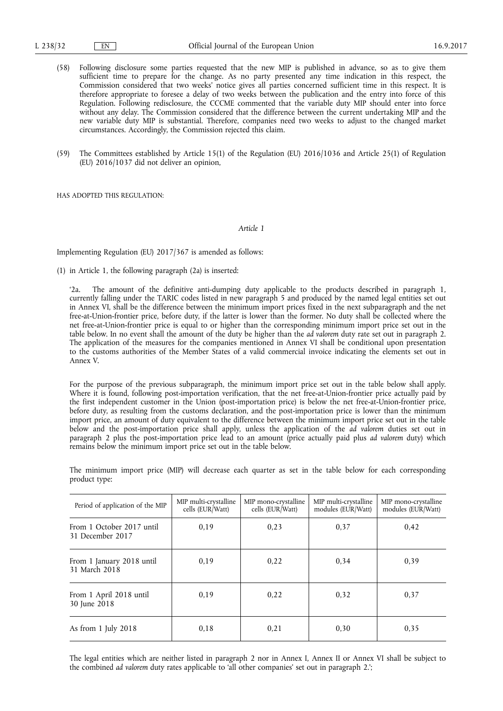- (58) Following disclosure some parties requested that the new MIP is published in advance, so as to give them sufficient time to prepare for the change. As no party presented any time indication in this respect, the Commission considered that two weeks' notice gives all parties concerned sufficient time in this respect. It is therefore appropriate to foresee a delay of two weeks between the publication and the entry into force of this Regulation. Following redisclosure, the CCCME commented that the variable duty MIP should enter into force without any delay. The Commission considered that the difference between the current undertaking MIP and the new variable duty MIP is substantial. Therefore, companies need two weeks to adjust to the changed market circumstances. Accordingly, the Commission rejected this claim.
- (59) The Committees established by Article 15(1) of the Regulation (EU) 2016/1036 and Article 25(1) of Regulation (EU) 2016/1037 did not deliver an opinion,

HAS ADOPTED THIS REGULATION:

#### *Article 1*

Implementing Regulation (EU) 2017/367 is amended as follows:

(1) in Article 1, the following paragraph (2a) is inserted:

'2a. The amount of the definitive anti-dumping duty applicable to the products described in paragraph 1, currently falling under the TARIC codes listed in new paragraph 5 and produced by the named legal entities set out in Annex VI, shall be the difference between the minimum import prices fixed in the next subparagraph and the net free-at-Union-frontier price, before duty, if the latter is lower than the former. No duty shall be collected where the net free-at-Union-frontier price is equal to or higher than the corresponding minimum import price set out in the table below. In no event shall the amount of the duty be higher than the *ad valorem* duty rate set out in paragraph 2. The application of the measures for the companies mentioned in Annex VI shall be conditional upon presentation to the customs authorities of the Member States of a valid commercial invoice indicating the elements set out in Annex V.

For the purpose of the previous subparagraph, the minimum import price set out in the table below shall apply. Where it is found, following post-importation verification, that the net free-at-Union-frontier price actually paid by the first independent customer in the Union (post-importation price) is below the net free-at-Union-frontier price, before duty, as resulting from the customs declaration, and the post-importation price is lower than the minimum import price, an amount of duty equivalent to the difference between the minimum import price set out in the table below and the post-importation price shall apply, unless the application of the *ad valorem* duties set out in paragraph 2 plus the post-importation price lead to an amount (price actually paid plus *ad valorem* duty) which remains below the minimum import price set out in the table below.

The minimum import price (MIP) will decrease each quarter as set in the table below for each corresponding product type:

| Period of application of the MIP              | MIP multi-crystalline<br>cells (EUR/Watt) | MIP mono-crystalline<br>cells (EUR/Watt) | MIP multi-crystalline<br>modules (EUR/Watt) | MIP mono-crystalline<br>modules (EUR/Watt) |
|-----------------------------------------------|-------------------------------------------|------------------------------------------|---------------------------------------------|--------------------------------------------|
| From 1 October 2017 until<br>31 December 2017 | 0.19                                      | 0.23                                     | 0.37                                        | 0.42                                       |
| From 1 January 2018 until<br>31 March 2018    | 0.19                                      | 0,22                                     | 0,34                                        | 0.39                                       |
| From 1 April 2018 until<br>30 June 2018       | 0.19                                      | 0.22                                     | 0,32                                        | 0.37                                       |
| As from 1 July 2018                           | 0.18                                      | 0.21                                     | 0,30                                        | 0.35                                       |

The legal entities which are neither listed in paragraph 2 nor in Annex I, Annex II or Annex VI shall be subject to the combined *ad valorem* duty rates applicable to 'all other companies' set out in paragraph 2.';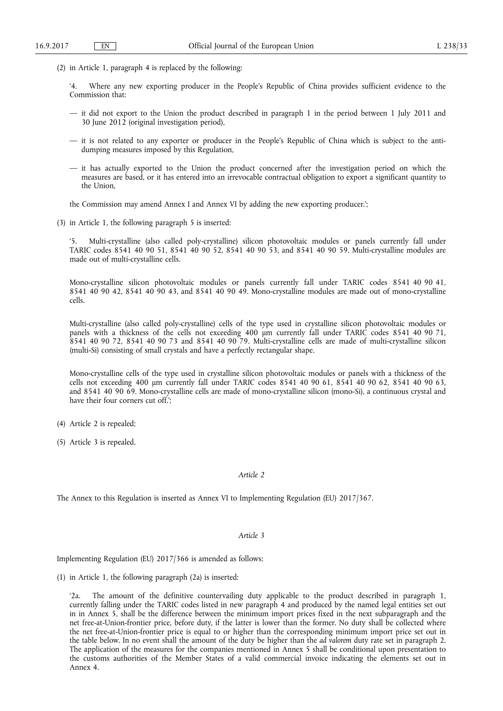(2) in Article 1, paragraph 4 is replaced by the following:

'4. Where any new exporting producer in the People's Republic of China provides sufficient evidence to the Commission that:

- it did not export to the Union the product described in paragraph 1 in the period between 1 July 2011 and 30 June 2012 (original investigation period),
- it is not related to any exporter or producer in the People's Republic of China which is subject to the antidumping measures imposed by this Regulation,
- it has actually exported to the Union the product concerned after the investigation period on which the measures are based, or it has entered into an irrevocable contractual obligation to export a significant quantity to the Union,

the Commission may amend Annex I and Annex VI by adding the new exporting producer.';

(3) in Article 1, the following paragraph 5 is inserted:

Multi-crystalline (also called poly-crystalline) silicon photovoltaic modules or panels currently fall under TARIC codes 8541 40 90 51, 8541 40 90 52, 8541 40 90 53, and 8541 40 90 59. Multi-crystalline modules are made out of multi-crystalline cells.

Mono-crystalline silicon photovoltaic modules or panels currently fall under TARIC codes 8541 40 90 41, 8541 40 90 42, 8541 40 90 43, and 8541 40 90 49. Mono-crystalline modules are made out of mono-crystalline cells.

Multi-crystalline (also called poly-crystalline) cells of the type used in crystalline silicon photovoltaic modules or panels with a thickness of the cells not exceeding 400 um currently fall under TARIC codes 8541 40 90 71, 8541 40 90 72, 8541 40 90 73 and 8541 40 90 79. Multi-crystalline cells are made of multi-crystalline silicon (multi-Si) consisting of small crystals and have a perfectly rectangular shape.

Mono-crystalline cells of the type used in crystalline silicon photovoltaic modules or panels with a thickness of the cells not exceeding 400 μm currently fall under TARIC codes 8541 40 90 61, 8541 40 90 62, 8541 40 90 63, and 8541 40 90 69. Mono-crystalline cells are made of mono-crystalline silicon (mono-Si), a continuous crystal and have their four corners cut off.';

- (4) Article 2 is repealed;
- (5) Article 3 is repealed.

## *Article 2*

The Annex to this Regulation is inserted as Annex VI to Implementing Regulation (EU) 2017/367.

### *Article 3*

Implementing Regulation (EU) 2017/366 is amended as follows:

(1) in Article 1, the following paragraph (2a) is inserted:

'2a. The amount of the definitive countervailing duty applicable to the product described in paragraph 1, currently falling under the TARIC codes listed in new paragraph 4 and produced by the named legal entities set out in in Annex 5, shall be the difference between the minimum import prices fixed in the next subparagraph and the net free-at-Union-frontier price, before duty, if the latter is lower than the former. No duty shall be collected where the net free-at-Union-frontier price is equal to or higher than the corresponding minimum import price set out in the table below. In no event shall the amount of the duty be higher than the *ad valorem* duty rate set in paragraph 2. The application of the measures for the companies mentioned in Annex 5 shall be conditional upon presentation to the customs authorities of the Member States of a valid commercial invoice indicating the elements set out in Annex 4.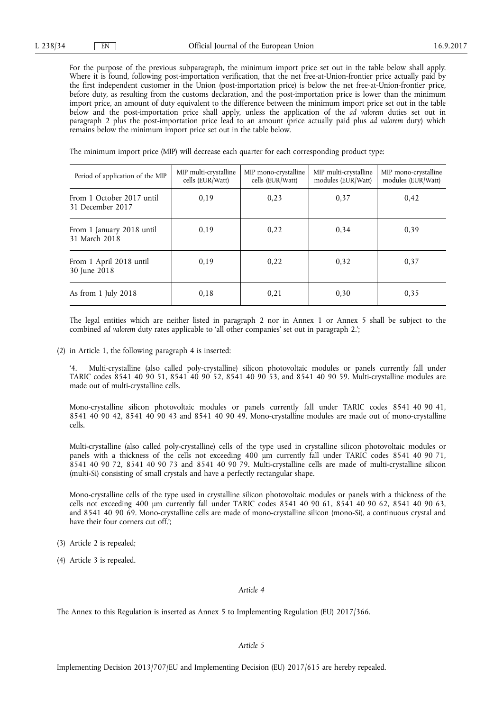For the purpose of the previous subparagraph, the minimum import price set out in the table below shall apply. Where it is found, following post-importation verification, that the net free-at-Union-frontier price actually paid by the first independent customer in the Union (post-importation price) is below the net free-at-Union-frontier price, before duty, as resulting from the customs declaration, and the post-importation price is lower than the minimum import price, an amount of duty equivalent to the difference between the minimum import price set out in the table below and the post-importation price shall apply, unless the application of the *ad valorem* duties set out in paragraph 2 plus the post-importation price lead to an amount (price actually paid plus *ad valorem* duty) which remains below the minimum import price set out in the table below.

The minimum import price (MIP) will decrease each quarter for each corresponding product type:

| Period of application of the MIP              | MIP multi-crystalline<br>cells (EUR/Watt) | MIP mono-crystalline<br>cells (EUR/Watt) | MIP multi-crystalline<br>modules (EUR/Watt) | MIP mono-crystalline<br>modules (EUR/Watt) |
|-----------------------------------------------|-------------------------------------------|------------------------------------------|---------------------------------------------|--------------------------------------------|
| From 1 October 2017 until<br>31 December 2017 | 0.19                                      | 0,23                                     | 0.37                                        | 0,42                                       |
| From 1 January 2018 until<br>31 March 2018    | 0.19                                      | 0,22                                     | 0.34                                        | 0.39                                       |
| From 1 April 2018 until<br>30 June 2018       | 0.19                                      | 0.22                                     | 0.32                                        | 0.37                                       |
| As from 1 July 2018                           | 0.18                                      | 0.21                                     | 0,30                                        | 0.35                                       |

The legal entities which are neither listed in paragraph 2 nor in Annex 1 or Annex 5 shall be subject to the combined *ad valorem* duty rates applicable to 'all other companies' set out in paragraph 2.';

(2) in Article 1, the following paragraph 4 is inserted:

'4. Multi-crystalline (also called poly-crystalline) silicon photovoltaic modules or panels currently fall under TARIC codes 8541 40 90 51, 8541 40 90 52, 8541 40 90 53, and 8541 40 90 59. Multi-crystalline modules are made out of multi-crystalline cells.

Mono-crystalline silicon photovoltaic modules or panels currently fall under TARIC codes 8541 40 90 41, 8541 40 90 42, 8541 40 90 43 and 8541 40 90 49. Mono-crystalline modules are made out of mono-crystalline cells.

Multi-crystalline (also called poly-crystalline) cells of the type used in crystalline silicon photovoltaic modules or panels with a thickness of the cells not exceeding 400 μm currently fall under TARIC codes 8541 40 90 71, 8541 40 90 72, 8541 40 90 73 and 8541 40 90 79. Multi-crystalline cells are made of multi-crystalline silicon (multi-Si) consisting of small crystals and have a perfectly rectangular shape.

Mono-crystalline cells of the type used in crystalline silicon photovoltaic modules or panels with a thickness of the cells not exceeding 400 μm currently fall under TARIC codes 8541 40 90 61, 8541 40 90 62, 8541 40 90 63, and 8541 40 90 69. Mono-crystalline cells are made of mono-crystalline silicon (mono-Si), a continuous crystal and have their four corners cut off.';

- (3) Article 2 is repealed;
- (4) Article 3 is repealed.

### *Article 4*

The Annex to this Regulation is inserted as Annex 5 to Implementing Regulation (EU) 2017/366.

## *Article 5*

Implementing Decision 2013/707/EU and Implementing Decision (EU) 2017/615 are hereby repealed.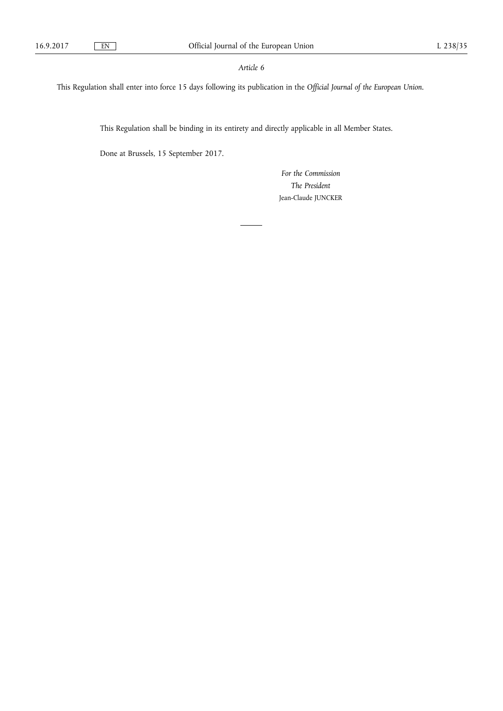## *Article 6*

This Regulation shall enter into force 15 days following its publication in the *Official Journal of the European Union*.

This Regulation shall be binding in its entirety and directly applicable in all Member States.

Done at Brussels, 15 September 2017.

*For the Commission The President*  Jean-Claude JUNCKER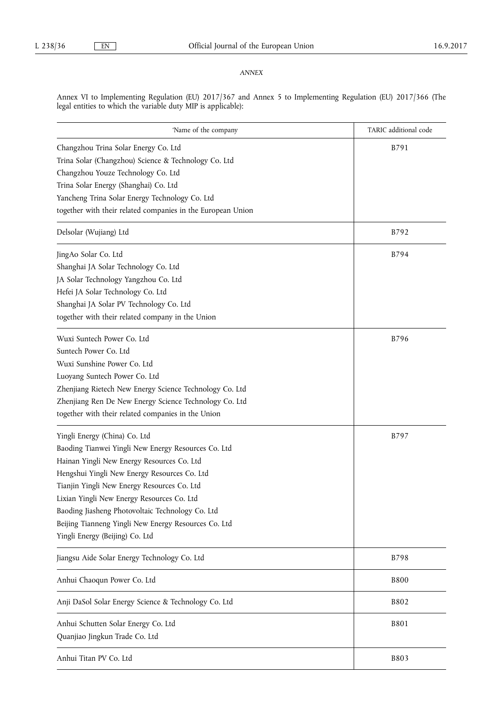# *ANNEX*

Annex VI to Implementing Regulation (EU) 2017/367 and Annex 5 to Implementing Regulation (EU) 2017/366 (The legal entities to which the variable duty MIP is applicable):

| 'Name of the company                                                                                                                                                                                                                                                                                                                                                                                                           | TARIC additional code |
|--------------------------------------------------------------------------------------------------------------------------------------------------------------------------------------------------------------------------------------------------------------------------------------------------------------------------------------------------------------------------------------------------------------------------------|-----------------------|
| Changzhou Trina Solar Energy Co. Ltd<br>Trina Solar (Changzhou) Science & Technology Co. Ltd<br>Changzhou Youze Technology Co. Ltd<br>Trina Solar Energy (Shanghai) Co. Ltd<br>Yancheng Trina Solar Energy Technology Co. Ltd<br>together with their related companies in the European Union                                                                                                                                   | B791                  |
| Delsolar (Wujiang) Ltd                                                                                                                                                                                                                                                                                                                                                                                                         | B792                  |
| JingAo Solar Co. Ltd<br>Shanghai JA Solar Technology Co. Ltd<br>JA Solar Technology Yangzhou Co. Ltd<br>Hefei JA Solar Technology Co. Ltd<br>Shanghai JA Solar PV Technology Co. Ltd<br>together with their related company in the Union                                                                                                                                                                                       | B794                  |
| Wuxi Suntech Power Co. Ltd<br>Suntech Power Co. Ltd<br>Wuxi Sunshine Power Co. Ltd<br>Luoyang Suntech Power Co. Ltd<br>Zhenjiang Rietech New Energy Science Technology Co. Ltd<br>Zhenjiang Ren De New Energy Science Technology Co. Ltd<br>together with their related companies in the Union                                                                                                                                 | B796                  |
| Yingli Energy (China) Co. Ltd<br>Baoding Tianwei Yingli New Energy Resources Co. Ltd<br>Hainan Yingli New Energy Resources Co. Ltd<br>Hengshui Yingli New Energy Resources Co. Ltd<br>Tianjin Yingli New Energy Resources Co. Ltd<br>Lixian Yingli New Energy Resources Co. Ltd<br>Baoding Jiasheng Photovoltaic Technology Co. Ltd<br>Beijing Tianneng Yingli New Energy Resources Co. Ltd<br>Yingli Energy (Beijing) Co. Ltd | B797                  |
| Jiangsu Aide Solar Energy Technology Co. Ltd                                                                                                                                                                                                                                                                                                                                                                                   | B798                  |
| Anhui Chaoqun Power Co. Ltd                                                                                                                                                                                                                                                                                                                                                                                                    | <b>B800</b>           |
| Anji DaSol Solar Energy Science & Technology Co. Ltd                                                                                                                                                                                                                                                                                                                                                                           | <b>B802</b>           |
| Anhui Schutten Solar Energy Co. Ltd<br>Quanjiao Jingkun Trade Co. Ltd                                                                                                                                                                                                                                                                                                                                                          | <b>B801</b>           |
| Anhui Titan PV Co. Ltd                                                                                                                                                                                                                                                                                                                                                                                                         | B803                  |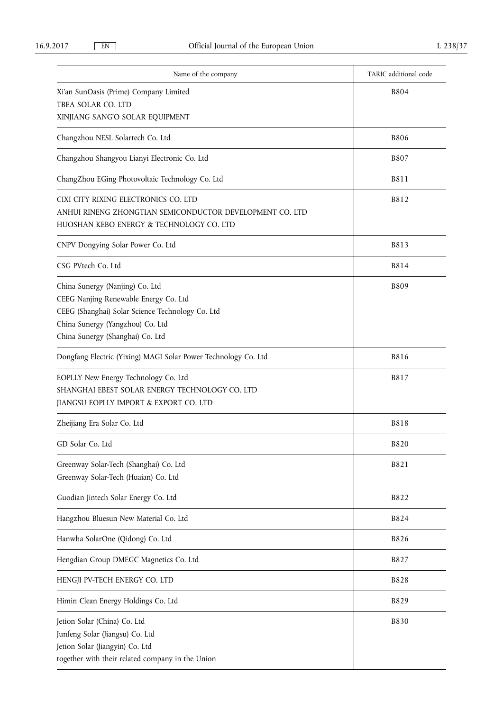| Name of the company                                                                                                                                                                                  | TARIC additional code |
|------------------------------------------------------------------------------------------------------------------------------------------------------------------------------------------------------|-----------------------|
| Xi'an SunOasis (Prime) Company Limited<br>TBEA SOLAR CO. LTD<br>XINJIANG SANG'O SOLAR EQUIPMENT                                                                                                      | <b>B804</b>           |
| Changzhou NESL Solartech Co. Ltd                                                                                                                                                                     | <b>B806</b>           |
| Changzhou Shangyou Lianyi Electronic Co. Ltd                                                                                                                                                         | <b>B807</b>           |
| ChangZhou EGing Photovoltaic Technology Co. Ltd                                                                                                                                                      | B811                  |
| CIXI CITY RIXING ELECTRONICS CO. LTD<br>ANHUI RINENG ZHONGTIAN SEMICONDUCTOR DEVELOPMENT CO. LTD<br>HUOSHAN KEBO ENERGY & TECHNOLOGY CO. LTD                                                         | B812                  |
| CNPV Dongying Solar Power Co. Ltd                                                                                                                                                                    | B813                  |
| CSG PVtech Co. Ltd                                                                                                                                                                                   | B814                  |
| China Sunergy (Nanjing) Co. Ltd<br>CEEG Nanjing Renewable Energy Co. Ltd<br>CEEG (Shanghai) Solar Science Technology Co. Ltd<br>China Sunergy (Yangzhou) Co. Ltd<br>China Sunergy (Shanghai) Co. Ltd | <b>B809</b>           |
| Dongfang Electric (Yixing) MAGI Solar Power Technology Co. Ltd                                                                                                                                       | <b>B816</b>           |
| EOPLLY New Energy Technology Co. Ltd<br>SHANGHAI EBEST SOLAR ENERGY TECHNOLOGY CO. LTD<br>JIANGSU EOPLLY IMPORT & EXPORT CO. LTD                                                                     | B817                  |
| Zheijiang Era Solar Co. Ltd                                                                                                                                                                          | <b>B818</b>           |
| GD Solar Co. Ltd                                                                                                                                                                                     | <b>B820</b>           |
| Greenway Solar-Tech (Shanghai) Co. Ltd<br>Greenway Solar-Tech (Huaian) Co. Ltd                                                                                                                       | B821                  |
| Guodian Jintech Solar Energy Co. Ltd                                                                                                                                                                 | B822                  |
| Hangzhou Bluesun New Material Co. Ltd                                                                                                                                                                | B824                  |
| Hanwha SolarOne (Qidong) Co. Ltd                                                                                                                                                                     | <b>B826</b>           |
| Hengdian Group DMEGC Magnetics Co. Ltd                                                                                                                                                               | B827                  |
| HENGJI PV-TECH ENERGY CO. LTD                                                                                                                                                                        | <b>B828</b>           |
| Himin Clean Energy Holdings Co. Ltd                                                                                                                                                                  | B829                  |
| Jetion Solar (China) Co. Ltd<br>Junfeng Solar (Jiangsu) Co. Ltd<br>Jetion Solar (Jiangyin) Co. Ltd<br>together with their related company in the Union                                               | <b>B830</b>           |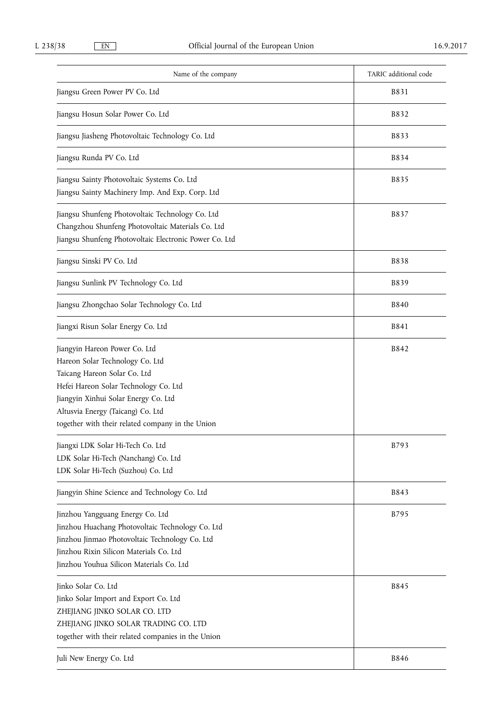| Name of the company                                                                                                                                                                                                                                                        | TARIC additional code |
|----------------------------------------------------------------------------------------------------------------------------------------------------------------------------------------------------------------------------------------------------------------------------|-----------------------|
| Jiangsu Green Power PV Co. Ltd                                                                                                                                                                                                                                             | B831                  |
| Jiangsu Hosun Solar Power Co. Ltd                                                                                                                                                                                                                                          | B832                  |
| Jiangsu Jiasheng Photovoltaic Technology Co. Ltd                                                                                                                                                                                                                           | B833                  |
| Jiangsu Runda PV Co. Ltd                                                                                                                                                                                                                                                   | B834                  |
| Jiangsu Sainty Photovoltaic Systems Co. Ltd<br>Jiangsu Sainty Machinery Imp. And Exp. Corp. Ltd                                                                                                                                                                            | B835                  |
| Jiangsu Shunfeng Photovoltaic Technology Co. Ltd<br>Changzhou Shunfeng Photovoltaic Materials Co. Ltd<br>Jiangsu Shunfeng Photovoltaic Electronic Power Co. Ltd                                                                                                            | B837                  |
| Jiangsu Sinski PV Co. Ltd                                                                                                                                                                                                                                                  | <b>B838</b>           |
| Jiangsu Sunlink PV Technology Co. Ltd                                                                                                                                                                                                                                      | <b>B839</b>           |
| Jiangsu Zhongchao Solar Technology Co. Ltd                                                                                                                                                                                                                                 | <b>B840</b>           |
| Jiangxi Risun Solar Energy Co. Ltd                                                                                                                                                                                                                                         | B841                  |
| Jiangyin Hareon Power Co. Ltd<br>Hareon Solar Technology Co. Ltd<br>Taicang Hareon Solar Co. Ltd<br>Hefei Hareon Solar Technology Co. Ltd<br>Jiangyin Xinhui Solar Energy Co. Ltd<br>Altusvia Energy (Taicang) Co. Ltd<br>together with their related company in the Union | B842                  |
| Jiangxi LDK Solar Hi-Tech Co. Ltd<br>LDK Solar Hi-Tech (Nanchang) Co. Ltd<br>LDK Solar Hi-Tech (Suzhou) Co. Ltd                                                                                                                                                            | B793                  |
| Jiangyin Shine Science and Technology Co. Ltd                                                                                                                                                                                                                              | B843                  |
| Jinzhou Yangguang Energy Co. Ltd<br>Jinzhou Huachang Photovoltaic Technology Co. Ltd<br>Jinzhou Jinmao Photovoltaic Technology Co. Ltd<br>Jinzhou Rixin Silicon Materials Co. Ltd<br>Jinzhou Youhua Silicon Materials Co. Ltd                                              | B795                  |
| Jinko Solar Co. Ltd<br>Jinko Solar Import and Export Co. Ltd<br>ZHEJIANG JINKO SOLAR CO. LTD<br>ZHEJIANG JINKO SOLAR TRADING CO. LTD<br>together with their related companies in the Union                                                                                 | B845                  |
| Juli New Energy Co. Ltd                                                                                                                                                                                                                                                    | <b>B846</b>           |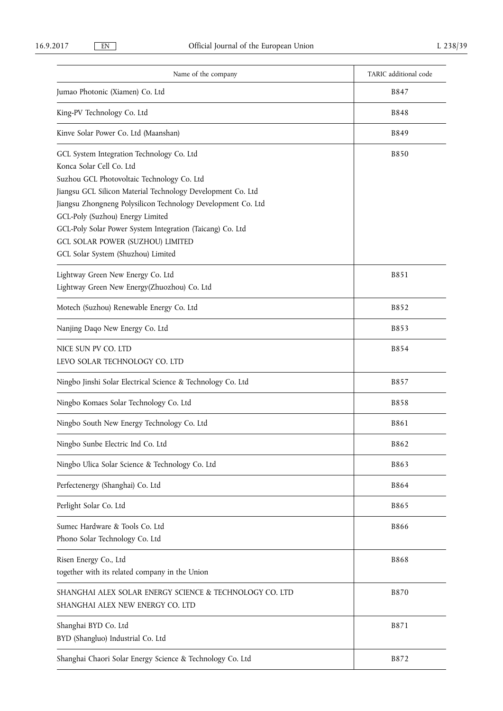| Name of the company                                                                                                                                                                                                                                                                                                                                                                                                                  | TARIC additional code |
|--------------------------------------------------------------------------------------------------------------------------------------------------------------------------------------------------------------------------------------------------------------------------------------------------------------------------------------------------------------------------------------------------------------------------------------|-----------------------|
| Jumao Photonic (Xiamen) Co. Ltd                                                                                                                                                                                                                                                                                                                                                                                                      | B847                  |
| King-PV Technology Co. Ltd                                                                                                                                                                                                                                                                                                                                                                                                           | <b>B848</b>           |
| Kinve Solar Power Co. Ltd (Maanshan)                                                                                                                                                                                                                                                                                                                                                                                                 | <b>B849</b>           |
| GCL System Integration Technology Co. Ltd<br>Konca Solar Cell Co. Ltd<br>Suzhou GCL Photovoltaic Technology Co. Ltd<br>Jiangsu GCL Silicon Material Technology Development Co. Ltd<br>Jiangsu Zhongneng Polysilicon Technology Development Co. Ltd<br>GCL-Poly (Suzhou) Energy Limited<br>GCL-Poly Solar Power System Integration (Taicang) Co. Ltd<br><b>GCL SOLAR POWER (SUZHOU) LIMITED</b><br>GCL Solar System (Shuzhou) Limited | <b>B850</b>           |
| Lightway Green New Energy Co. Ltd<br>Lightway Green New Energy(Zhuozhou) Co. Ltd                                                                                                                                                                                                                                                                                                                                                     | B851                  |
| Motech (Suzhou) Renewable Energy Co. Ltd                                                                                                                                                                                                                                                                                                                                                                                             | B852                  |
| Nanjing Daqo New Energy Co. Ltd                                                                                                                                                                                                                                                                                                                                                                                                      | B853                  |
| NICE SUN PV CO. LTD<br>LEVO SOLAR TECHNOLOGY CO. LTD                                                                                                                                                                                                                                                                                                                                                                                 | <b>B854</b>           |
| Ningbo Jinshi Solar Electrical Science & Technology Co. Ltd                                                                                                                                                                                                                                                                                                                                                                          | B857                  |
| Ningbo Komaes Solar Technology Co. Ltd                                                                                                                                                                                                                                                                                                                                                                                               | <b>B858</b>           |
| Ningbo South New Energy Technology Co. Ltd                                                                                                                                                                                                                                                                                                                                                                                           | B861                  |
| Ningbo Sunbe Electric Ind Co. Ltd                                                                                                                                                                                                                                                                                                                                                                                                    | B862                  |
| Ningbo Ulica Solar Science & Technology Co. Ltd                                                                                                                                                                                                                                                                                                                                                                                      | B863                  |
| Perfectenergy (Shanghai) Co. Ltd                                                                                                                                                                                                                                                                                                                                                                                                     | <b>B864</b>           |
| Perlight Solar Co. Ltd                                                                                                                                                                                                                                                                                                                                                                                                               | B865                  |
| Sumec Hardware & Tools Co. Ltd<br>Phono Solar Technology Co. Ltd                                                                                                                                                                                                                                                                                                                                                                     | <b>B866</b>           |
| Risen Energy Co., Ltd<br>together with its related company in the Union                                                                                                                                                                                                                                                                                                                                                              | <b>B868</b>           |
| SHANGHAI ALEX SOLAR ENERGY SCIENCE & TECHNOLOGY CO. LTD<br>SHANGHAI ALEX NEW ENERGY CO. LTD                                                                                                                                                                                                                                                                                                                                          | <b>B870</b>           |
| Shanghai BYD Co. Ltd<br>BYD (Shangluo) Industrial Co. Ltd                                                                                                                                                                                                                                                                                                                                                                            | B871                  |
| Shanghai Chaori Solar Energy Science & Technology Co. Ltd                                                                                                                                                                                                                                                                                                                                                                            | B872                  |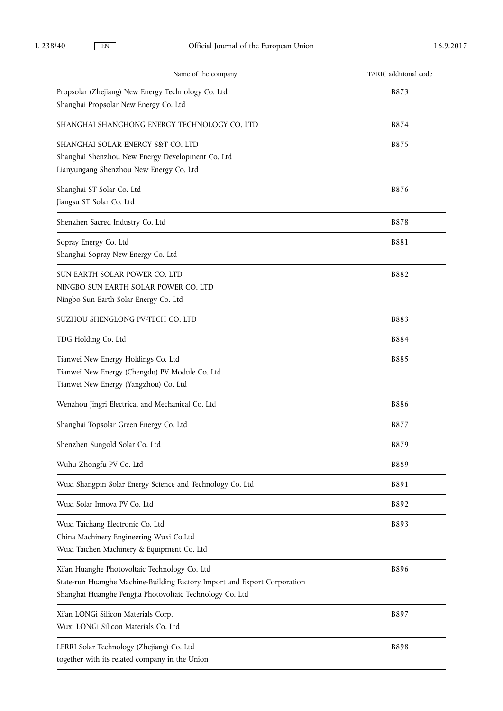| Name of the company                                                                                                                                                                   | TARIC additional code |
|---------------------------------------------------------------------------------------------------------------------------------------------------------------------------------------|-----------------------|
| Propsolar (Zhejiang) New Energy Technology Co. Ltd<br>Shanghai Propsolar New Energy Co. Ltd                                                                                           | B873                  |
| SHANGHAI SHANGHONG ENERGY TECHNOLOGY CO. LTD                                                                                                                                          | B874                  |
| SHANGHAI SOLAR ENERGY S&T CO. LTD<br>Shanghai Shenzhou New Energy Development Co. Ltd<br>Lianyungang Shenzhou New Energy Co. Ltd                                                      | B875                  |
| Shanghai ST Solar Co. Ltd<br>Jiangsu ST Solar Co. Ltd                                                                                                                                 | B876                  |
| Shenzhen Sacred Industry Co. Ltd                                                                                                                                                      | <b>B878</b>           |
| Sopray Energy Co. Ltd<br>Shanghai Sopray New Energy Co. Ltd                                                                                                                           | <b>B881</b>           |
| SUN EARTH SOLAR POWER CO. LTD<br>NINGBO SUN EARTH SOLAR POWER CO. LTD<br>Ningbo Sun Earth Solar Energy Co. Ltd                                                                        | <b>B882</b>           |
| SUZHOU SHENGLONG PV-TECH CO. LTD                                                                                                                                                      | B883                  |
| TDG Holding Co. Ltd                                                                                                                                                                   | <b>B884</b>           |
| Tianwei New Energy Holdings Co. Ltd<br>Tianwei New Energy (Chengdu) PV Module Co. Ltd<br>Tianwei New Energy (Yangzhou) Co. Ltd                                                        | <b>B885</b>           |
| Wenzhou Jingri Electrical and Mechanical Co. Ltd                                                                                                                                      | <b>B886</b>           |
| Shanghai Topsolar Green Energy Co. Ltd                                                                                                                                                | B877                  |
| Shenzhen Sungold Solar Co. Ltd                                                                                                                                                        | B879                  |
| Wuhu Zhongfu PV Co. Ltd                                                                                                                                                               | <b>B889</b>           |
| Wuxi Shangpin Solar Energy Science and Technology Co. Ltd                                                                                                                             | B891                  |
| Wuxi Solar Innova PV Co. Ltd                                                                                                                                                          | B892                  |
| Wuxi Taichang Electronic Co. Ltd<br>China Machinery Engineering Wuxi Co.Ltd<br>Wuxi Taichen Machinery & Equipment Co. Ltd                                                             | B893                  |
| Xi'an Huanghe Photovoltaic Technology Co. Ltd<br>State-run Huanghe Machine-Building Factory Import and Export Corporation<br>Shanghai Huanghe Fengjia Photovoltaic Technology Co. Ltd | B896                  |
| Xi'an LONGi Silicon Materials Corp.<br>Wuxi LONGi Silicon Materials Co. Ltd                                                                                                           | B897                  |
| LERRI Solar Technology (Zhejiang) Co. Ltd<br>together with its related company in the Union                                                                                           | <b>B898</b>           |